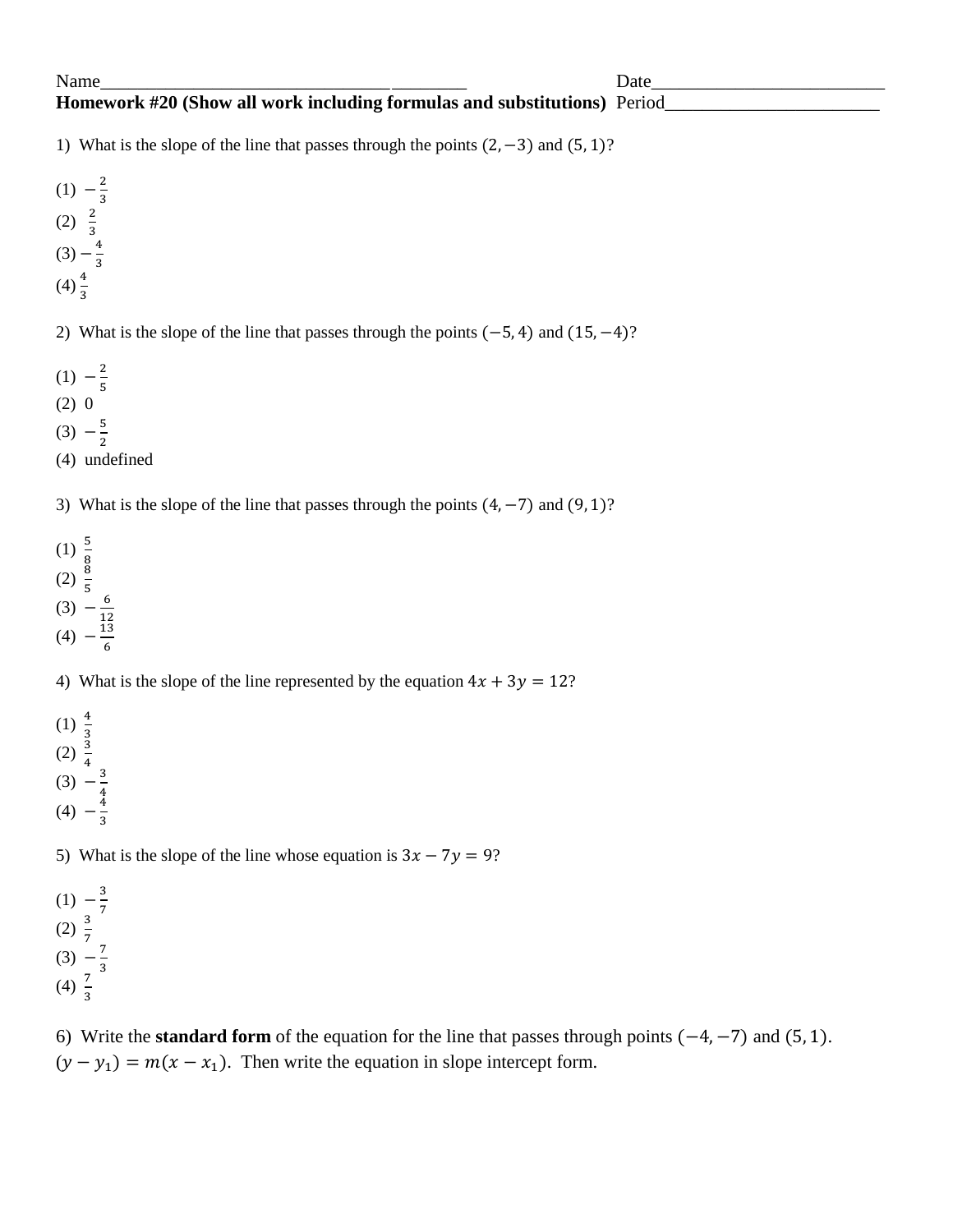## Name\_\_\_\_\_\_\_\_\_\_\_\_\_\_\_\_\_\_\_\_\_\_\_\_\_\_\_\_\_\_\_\_\_\_\_\_\_\_\_ Date\_\_\_\_\_\_\_\_\_\_\_\_\_\_\_\_\_\_\_\_\_\_\_\_\_ **Homework #20 (Show all work including formulas and substitutions)** Period

1) What is the slope of the line that passes through the points  $(2, -3)$  and  $(5, 1)$ ?

 $(1) -\frac{2}{3}$ 3 (2)  $\frac{2}{3}$  $(3) - \frac{4}{3}$ 3

 $(4)\frac{4}{3}$ 

2) What is the slope of the line that passes through the points  $(-5, 4)$  and  $(15, -4)$ ?

- $(1) -\frac{2}{5}$ 5
- $(2) 0$
- $(3) -\frac{5}{6}$
- $\overline{\mathbf{c}}$ (4) undefined
- 3) What is the slope of the line that passes through the points  $(4, -7)$  and  $(9, 1)$ ?
- $(1) \frac{5}{8}$
- (2)  $\frac{6}{5}$
- $(3) -\frac{6}{15}$  $\mathbf{1}$  $(4) -\frac{1}{2}$

6

4) What is the slope of the line represented by the equation  $4x + 3y = 12$ ?

- $(1) \frac{4}{3}$  $(2) \frac{5}{4}$  $(3) -\frac{3}{4}$
- 4  $(4) -\frac{4}{9}$ 3

5) What is the slope of the line whose equation is  $3x - 7y = 9$ ?

 $(1) -\frac{3}{7}$ 7  $(2) \frac{3}{7}$  $(3) -\frac{7}{9}$ 3 (4)  $\frac{7}{3}$ 

6) Write the **standard form** of the equation for the line that passes through points  $(-4, -7)$  and  $(5, 1)$ .  $(y - y_1) = m(x - x_1)$ . Then write the equation in slope intercept form.